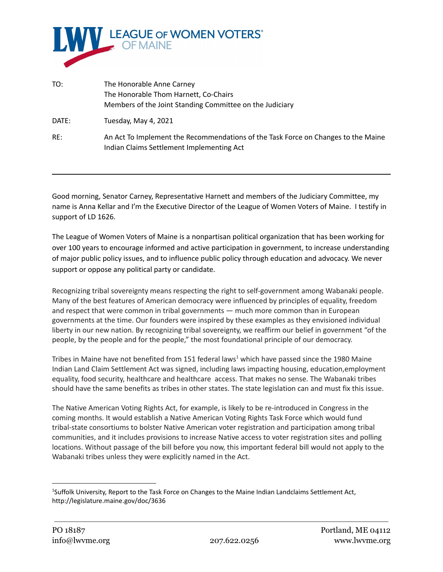

| TO:   | The Honorable Anne Carney                                                                                                      |
|-------|--------------------------------------------------------------------------------------------------------------------------------|
|       | The Honorable Thom Harnett, Co-Chairs                                                                                          |
|       | Members of the Joint Standing Committee on the Judiciary                                                                       |
| DATE: | Tuesday, May 4, 2021                                                                                                           |
| RE:   | An Act To Implement the Recommendations of the Task Force on Changes to the Maine<br>Indian Claims Settlement Implementing Act |

Good morning, Senator Carney, Representative Harnett and members of the Judiciary Committee, my name is Anna Kellar and I'm the Executive Director of the League of Women Voters of Maine. I testify in support of LD 1626.

The League of Women Voters of Maine is a nonpartisan political organization that has been working for over 100 years to encourage informed and active participation in government, to increase understanding of major public policy issues, and to influence public policy through education and advocacy. We never support or oppose any political party or candidate.

Recognizing tribal sovereignty means respecting the right to self-government among Wabanaki people. Many of the best features of American democracy were influenced by principles of equality, freedom and respect that were common in tribal governments — much more common than in European governments at the time. Our founders were inspired by these examples as they envisioned individual liberty in our new nation. By recognizing tribal sovereignty, we reaffirm our belief in government "of the people, by the people and for the people," the most foundational principle of our democracy.

Tribes in Maine have not benefited from 151 federal laws<sup>1</sup> which have passed since the 1980 Maine Indian Land Claim Settlement Act was signed, including laws impacting housing, education,employment equality, food security, healthcare and healthcare access. That makes no sense. The Wabanaki tribes should have the same benefits as tribes in other states. The state legislation can and must fix this issue.

The Native American Voting Rights Act, for example, is likely to be re-introduced in Congress in the coming months. It would establish a Native American Voting Rights Task Force which would fund tribal-state consortiums to bolster Native American voter registration and participation among tribal communities, and it includes provisions to increase Native access to voter registration sites and polling locations. Without passage of the bill before you now, this important federal bill would not apply to the Wabanaki tribes unless they were explicitly named in the Act.

<sup>1</sup>Suffolk University, Report to the Task Force on Changes to the Maine Indian Landclaims Settlement Act, http://legislature.maine.gov/doc/3636